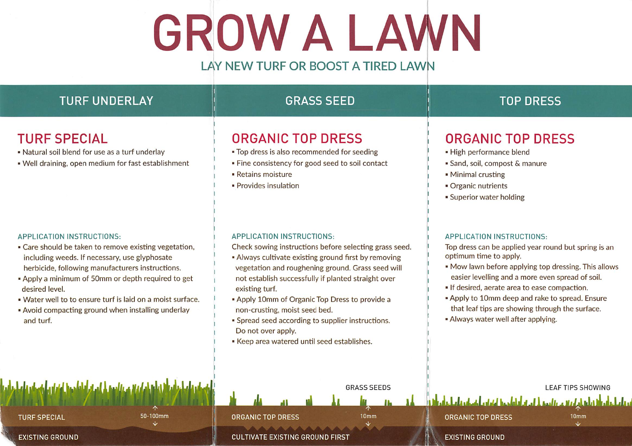# GROW A LAWN

#### LAY NEW TURF OR BOOST A TIRED LAWN

| <b>TURF UNDERLAY</b>                                                                                                                                                                                                                                                                                                                                                                             | <b>GRASS SEED</b>                                                                                                                                                                                                                                                                                                                                                                                                                                                                    | <b>TOP DRESS</b>                                                                                                                                                                                                                                                                                                                                                                                                    |
|--------------------------------------------------------------------------------------------------------------------------------------------------------------------------------------------------------------------------------------------------------------------------------------------------------------------------------------------------------------------------------------------------|--------------------------------------------------------------------------------------------------------------------------------------------------------------------------------------------------------------------------------------------------------------------------------------------------------------------------------------------------------------------------------------------------------------------------------------------------------------------------------------|---------------------------------------------------------------------------------------------------------------------------------------------------------------------------------------------------------------------------------------------------------------------------------------------------------------------------------------------------------------------------------------------------------------------|
| <b>TURF SPECIAL</b><br>. Natural soil blend for use as a turf underlay<br>. Well draining, open medium for fast establishment                                                                                                                                                                                                                                                                    | <b>ORGANIC TOP DRESS</b><br>. Top dress is also recommended for seeding<br>. Fine consistency for good seed to soil contact<br>- Retains moisture<br>· Provides insulation                                                                                                                                                                                                                                                                                                           | <b>ORGANIC TOP DRESS</b><br>• High performance blend<br>· Sand, soil, compost & manure<br>• Minimal crusting<br>• Organic nutrients<br><b>Superior water holding</b>                                                                                                                                                                                                                                                |
| APPLICATION INSTRUCTIONS:<br>• Care should be taken to remove existing vegetation,<br>including weeds. If necessary, use glyphosate<br>herbicide, following manufacturers instructions.<br>. Apply a minimum of 50mm or depth required to get<br>desired level.<br>. Water well to to ensure turf is laid on a moist surface.<br>. Avoid compacting ground when installing underlay<br>and turf. | APPLICATION INSTRUCTIONS:<br>Check sowing instructions before selecting grass seed.<br>. Always cultivate existing ground first by removing<br>vegetation and roughening ground. Grass seed will<br>not establish successfully if planted straight over<br>existing turf.<br>. Apply 10mm of Organic Top Dress to provide a<br>non-crusting, moist seed bed.<br>· Spread seed according to supplier instructions.<br>Do not over apply.<br>Keep area watered until seed establishes. | APPLICATION INSTRUCTIONS:<br>Top dress can be applied year round but spring is an<br>optimum time to apply.<br>. Mow lawn before applying top dressing. This allows<br>easier levelling and a more even spread of soil.<br>If desired, aerate area to ease compaction.<br>. Apply to 10mm deep and rake to spread. Ensure<br>that leaf tips are showing through the surface.<br>. Always water well after applying. |
| التعطيم والمماسل وأعطيته والمستقام والمستقطع المواز والمستعمل أوزان ورائح<br>$50 - 100$ mm<br><b>TURF SPECIAL</b><br>J                                                                                                                                                                                                                                                                           | <b>GRASS SEEDS</b><br>10mm<br><b>ORGANIC TOP DRESS</b>                                                                                                                                                                                                                                                                                                                                                                                                                               | <b>LEAF TIPS SHOWING</b><br>القابلي المقاربة والمدار المتعاطف المعادل والمطمع والمعادر<br><b>ORGANIC TOP DRESS</b><br>10 <sub>mm</sub><br>ste.                                                                                                                                                                                                                                                                      |
| <b>EXISTING GROUND</b>                                                                                                                                                                                                                                                                                                                                                                           | <b>CULTIVATE EXISTING GROUND FIRST</b>                                                                                                                                                                                                                                                                                                                                                                                                                                               | <b>EXISTING GROUND</b>                                                                                                                                                                                                                                                                                                                                                                                              |